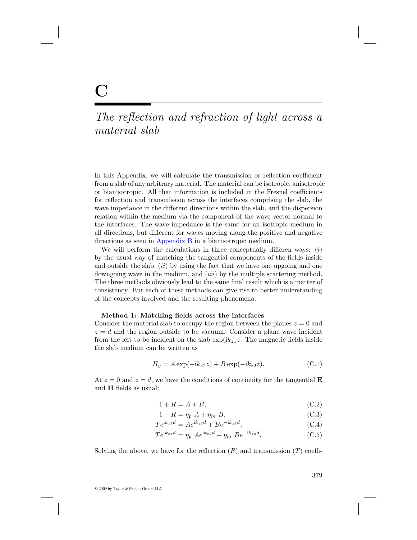## The reflection and refraction of light across a material slab

In this Appendix, we will calculate the transmission or reflection coefficient from a slab of any arbitrary material. The material can be isotropic, anisotropic or bianisotropic. All that information is included in the Fresnel coefficients for reflection and transmission across the interfaces comprising the slab, the wave impedance in the different directions within the slab, and the dispersion relation within the medium via the component of the wave vector normal to the interfaces. The wave impedance is the same for an isotropic medium in all directions, but different for waves moving along the positive and negative directions as seen in Appendix B in a bianisotropic medium.

We will perform the calculations in three conceptually differen ways:  $(i)$ by the usual way of matching the tangential components of the fields inside and outside the slab,  $(ii)$  by using the fact that we have one upgoing and one downgoing wave in the medium, and *(iii)* by the multiple scattering method. The three methods obviously lead to the same final result which is a matter of consistency. But each of these methods can give rise to better understanding of the concepts involved and the resulting phenomena.

## **Method 1: Matching fields across the interfaces**

Consider the material slab to occupy the region between the planes  $z = 0$  and  $z = d$  and the region outside to be vacuum. Consider a plane wave incident from the left to be incident on the slab  $\exp(ik_z z)$ . The magnetic fields inside the slab medium can be written as

$$
H_y = A \exp(+ik_{z2}z) + B \exp(-ik_{z2}z). \tag{C.1}
$$

At  $z = 0$  and  $z = d$ , we have the conditions of continuity for the tangential **E** and **H** fields as usual:

$$
1 + R = A + B,\tag{C.2}
$$

$$
1 - R = \eta_p \ A + \eta_m \ B,\tag{C.3}
$$

$$
Te^{ik_{z1}d} = Ae^{ik_{z2}d} + Be^{-ik_{z2}d},
$$
\n(C.4)

$$
Te^{ik_{z1}d} = \eta_p A e^{ik_{z2}d} + \eta_m B e^{-ik_{z2}d}.
$$
 (C.5)

Solving the above, we have for the reflection  $(R)$  and transmission  $(T)$  coeffi-